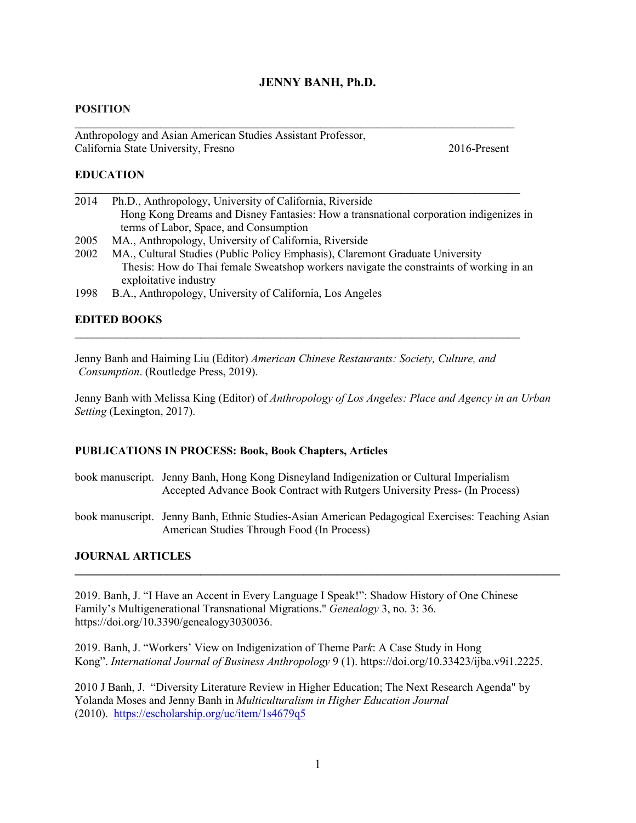# **JENNY BANH, Ph.D.**

#### **POSITION**

Anthropology and Asian American Studies Assistant Professor, California State University, Fresno 2016-Present

## **EDUCATION**

| 2014 | Ph.D., Anthropology, University of California, Riverside                              |
|------|---------------------------------------------------------------------------------------|
|      | Hong Kong Dreams and Disney Fantasies: How a transnational corporation indigenizes in |
|      | terms of Labor, Space, and Consumption                                                |

**\_\_\_\_\_\_\_\_\_\_\_\_\_\_\_\_\_\_\_\_\_\_\_\_\_\_\_\_\_\_\_\_\_\_\_\_\_\_\_\_\_\_\_\_\_\_\_\_\_\_\_\_\_\_\_\_\_\_\_\_\_\_\_\_\_\_\_\_\_\_\_\_\_\_\_\_\_\_**

 $\mathcal{L}_\text{max}$  and  $\mathcal{L}_\text{max}$  and  $\mathcal{L}_\text{max}$  and  $\mathcal{L}_\text{max}$  and  $\mathcal{L}_\text{max}$  and  $\mathcal{L}_\text{max}$ 

- 2005 MA., Anthropology, University of California, Riverside
- 2002 MA., Cultural Studies (Public Policy Emphasis), Claremont Graduate University Thesis: How do Thai female Sweatshop workers navigate the constraints of working in an exploitative industry
- 1998 B.A., Anthropology, University of California, Los Angeles

### **EDITED BOOKS**

Jenny Banh and Haiming Liu (Editor) *American Chinese Restaurants: Society, Culture, and Consumption*. (Routledge Press, 2019).

 $\mathcal{L}_\text{max}$  and  $\mathcal{L}_\text{max}$  and  $\mathcal{L}_\text{max}$  and  $\mathcal{L}_\text{max}$  and  $\mathcal{L}_\text{max}$  and  $\mathcal{L}_\text{max}$ 

Jenny Banh with Melissa King (Editor) of *Anthropology of Los Angeles: Place and Agency in an Urban Setting* (Lexington, 2017).

#### **PUBLICATIONS IN PROCESS: Book, Book Chapters, Articles**

- book manuscript. Jenny Banh, Hong Kong Disneyland Indigenization or Cultural Imperialism Accepted Advance Book Contract with Rutgers University Press- (In Process)
- book manuscript. Jenny Banh, Ethnic Studies-Asian American Pedagogical Exercises: Teaching Asian American Studies Through Food (In Process)

**\_\_\_\_\_\_\_\_\_\_\_\_\_\_\_\_\_\_\_\_\_\_\_\_\_\_\_\_\_\_\_\_\_\_\_\_\_\_\_\_\_\_\_\_\_\_\_\_\_\_\_\_\_\_\_\_\_\_\_\_\_\_\_\_\_\_\_\_\_\_\_\_\_\_\_\_\_\_\_\_\_\_\_\_\_**

#### **JOURNAL ARTICLES**

2019. Banh, J. "I Have an Accent in Every Language I Speak!": Shadow History of One Chinese Family's Multigenerational Transnational Migrations." *Genealogy* 3, no. 3: 36. [https://doi.org/10.3390/genealogy3030036.](https://doi.org/10.3390/genealogy3030036)

2019. Banh, J. "Workers' View on Indigenization of Theme Par*k*: A Case Study in Hong Kong". *International Journal of Business Anthropology* 9 (1). https://doi.org/10.33423/ijba.v9i1.2225.

2010 J Banh, J. "Diversity Literature Review in Higher Education; The Next Research Agenda" by Yolanda Moses and Jenny Banh in *Multiculturalism in Higher Education Journal* (2010). <https://escholarship.org/uc/item/1s4679q5>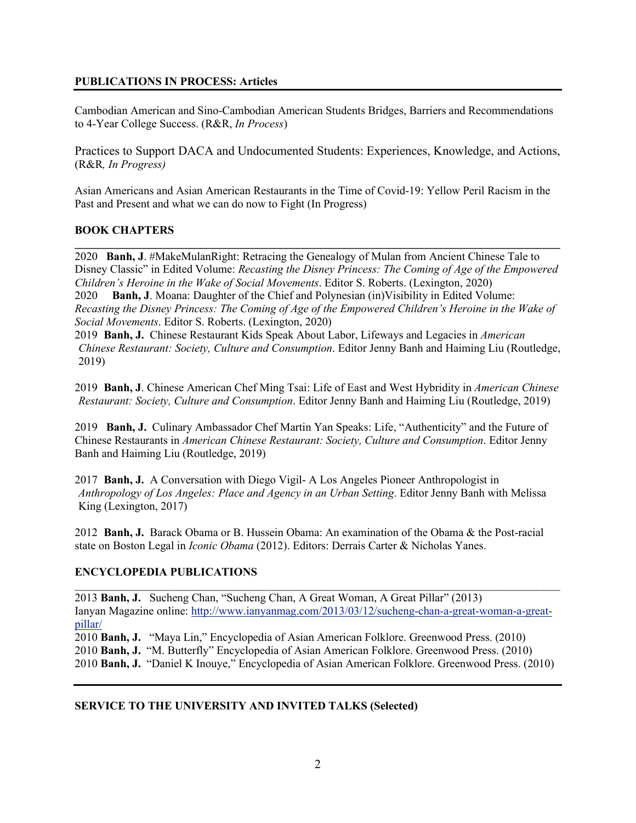# **PUBLICATIONS IN PROCESS: Articles**

Cambodian American and Sino-Cambodian American Students Bridges, Barriers and Recommendations to 4-Year College Success. (R&R, *In Process*)

Practices to Support DACA and Undocumented Students: Experiences, Knowledge, and Actions, (R&R*, In Progress)*

Asian Americans and Asian American Restaurants in the Time of Covid-19: Yellow Peril Racism in the Past and Present and what we can do now to Fight (In Progress)

# **BOOK CHAPTERS**

2020 **Banh, J**. #MakeMulanRight: Retracing the Genealogy of Mulan from Ancient Chinese Tale to Disney Classic" in Edited Volume: *Recasting the Disney Princess: The Coming of Age of the Empowered Children's Heroine in the Wake of Social Movements*. Editor S. Roberts. (Lexington, 2020) 2020 **Banh, J**. Moana: Daughter of the Chief and Polynesian (in)Visibility in Edited Volume: *Recasting the Disney Princess: The Coming of Age of the Empowered Children's Heroine in the Wake of Social Movements*. Editor S. Roberts. (Lexington, 2020)

**\_\_\_\_\_\_\_\_\_\_\_\_\_\_\_\_\_\_\_\_\_\_\_\_\_\_\_\_\_\_\_\_\_\_\_\_\_\_\_\_\_\_\_\_\_\_\_\_\_\_\_\_\_\_\_\_\_\_\_\_\_\_\_\_\_\_\_\_\_\_\_\_\_\_\_\_\_\_\_\_\_\_\_\_\_**

2019 **Banh, J.** Chinese Restaurant Kids Speak About Labor, Lifeways and Legacies in *American Chinese Restaurant: Society, Culture and Consumption*. Editor Jenny Banh and Haiming Liu (Routledge, 2019)

2019 **Banh, J**. Chinese American Chef Ming Tsai: Life of East and West Hybridity in *American Chinese Restaurant: Society, Culture and Consumption*. Editor Jenny Banh and Haiming Liu (Routledge, 2019)

2019 **Banh, J.** Culinary Ambassador Chef Martin Yan Speaks: Life, "Authenticity" and the Future of Chinese Restaurants in *American Chinese Restaurant: Society, Culture and Consumption*. Editor Jenny Banh and Haiming Liu (Routledge, 2019)

2017 **Banh, J.** A Conversation with Diego Vigil- A Los Angeles Pioneer Anthropologist in *Anthropology of Los Angeles: Place and Agency in an Urban Setting*. Editor Jenny Banh with Melissa King (Lexington, 2017)

2012 **Banh, J.** Barack Obama or B. Hussein Obama: An examination of the Obama & the Post-racial state on Boston Legal in *Iconic Obama* (2012). Editors: Derrais Carter & Nicholas Yanes.

# **ENCYCLOPEDIA PUBLICATIONS**

*\_\_\_\_\_\_\_\_\_\_\_\_\_\_\_\_\_\_\_\_\_\_\_\_\_\_\_\_\_\_\_\_\_\_\_\_\_\_\_\_\_\_\_\_\_\_\_\_\_\_\_\_\_\_\_\_\_\_\_\_\_\_\_\_\_\_\_\_\_\_\_\_\_\_\_\_\_\_\_\_\_\_\_\_\_* 2013 **Banh, J.** Sucheng Chan, "Sucheng Chan, A Great Woman, A Great Pillar" (2013) Ianyan Magazine online: [http://www.ianyanmag.com/2013/03/12/sucheng-chan-a-great-woman-a-great](http://www.ianyanmag.com/2013/03/12/sucheng-chan-a-great-woman-a-great-pillar/)[pillar/](http://www.ianyanmag.com/2013/03/12/sucheng-chan-a-great-woman-a-great-pillar/) 

2010 **Banh, J.** "Maya Lin," Encyclopedia of Asian American Folklore. Greenwood Press. (2010) 2010 **Banh, J.** "M. Butterfly" Encyclopedia of Asian American Folklore. Greenwood Press. (2010) 2010 **Banh, J.** "Daniel K Inouye," Encyclopedia of Asian American Folklore. Greenwood Press. (2010)

## **SERVICE TO THE UNIVERSITY AND INVITED TALKS (Selected)**